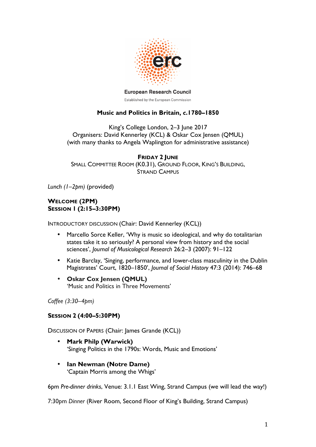

**European Research Council** 

Established by the European Commission

# **Music and Politics in Britain,** *c***.1780–1850**

King's College London, 2–3 June 2017 Organisers: David Kennerley (KCL) & Oskar Cox Jensen (QMUL) (with many thanks to Angela Waplington for administrative assistance)

## **FRIDAY 2 JUNE**

SMALL COMMITTEE ROOM (K0.31), GROUND FLOOR, KING'S BUILDING, STRAND CAMPUS

*Lunch (1–2pm)* (provided)

# **WELCOME (2PM) SESSION 1 (2:15–3:30PM)**

INTRODUCTORY DISCUSSION (Chair: David Kennerley (KCL))

- Marcello Sorce Keller, 'Why is music so ideological, and why do totalitarian states take it so seriously? A personal view from history and the social sciences', *Journal of Musicological Research* 26:2–3 (2007): 91–122
- Katie Barclay, 'Singing, performance, and lower-class masculinity in the Dublin Magistrates' Court, 1820–1850', *Journal of Social History* 47:3 (2014): 746–68
- **Oskar Cox Jensen (QMUL)** 'Music and Politics in Three Movements'

*Coffee (3:30–4pm)*

## **SESSION 2 (4:00–5:30PM)**

DISCUSSION OF PAPERS (Chair: James Grande (KCL))

- **Mark Philp (Warwick)** 'Singing Politics in the 1790s: Words, Music and Emotions'
- **Ian Newman (Notre Dame)** 'Captain Morris among the Whigs'

6pm *Pre-dinner drinks*, Venue: 3.1.1 East Wing, Strand Campus (we will lead the way!)

7:30pm *Dinner* (River Room, Second Floor of King's Building, Strand Campus)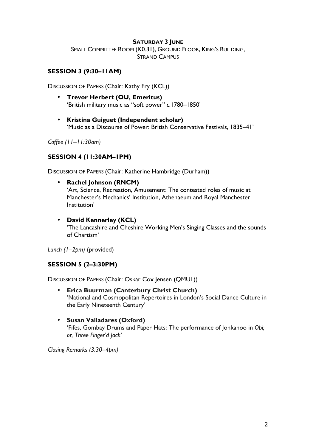## **SATURDAY 3 JUNE**

SMALL COMMITTEE ROOM (K0.31), GROUND FLOOR, KING'S BUILDING, STRAND CAMPUS

# **SESSION 3 (9:30–11AM)**

DISCUSSION OF PAPERS (Chair: Kathy Fry (KCL))

- **Trevor Herbert (OU, Emeritus)** 'British military music as "soft power" *c*.1780–1850'
- **Kristina Guiguet (Independent scholar)** 'Music as a Discourse of Power: British Conservative Festivals, 1835–41'

*Coffee (11–11:30am)*

# **SESSION 4 (11:30AM–1PM)**

DISCUSSION OF PAPERS (Chair: Katherine Hambridge (Durham))

• **Rachel Johnson (RNCM)**

'Art, Science, Recreation, Amusement: The contested roles of music at Manchester's Mechanics' Institution, Athenaeum and Royal Manchester Institution'

• **David Kennerley (KCL)** 'The Lancashire and Cheshire Working Men's Singing Classes and the sounds of Chartism'

*Lunch (1–2pm)* (provided)

## **SESSION 5 (2–3:30PM)**

DISCUSSION OF PAPERS (Chair: Oskar Cox Jensen (QMUL))

- **Erica Buurman (Canterbury Christ Church)** 'National and Cosmopolitan Repertoires in London's Social Dance Culture in the Early Nineteenth Century'
- **Susan Valladares (Oxford)** 'Fifes, Gombay Drums and Paper Hats: The performance of Jonkanoo in *Obi; or, Three Finger'd Jack*'

*Closing Remarks (3:30–4pm)*